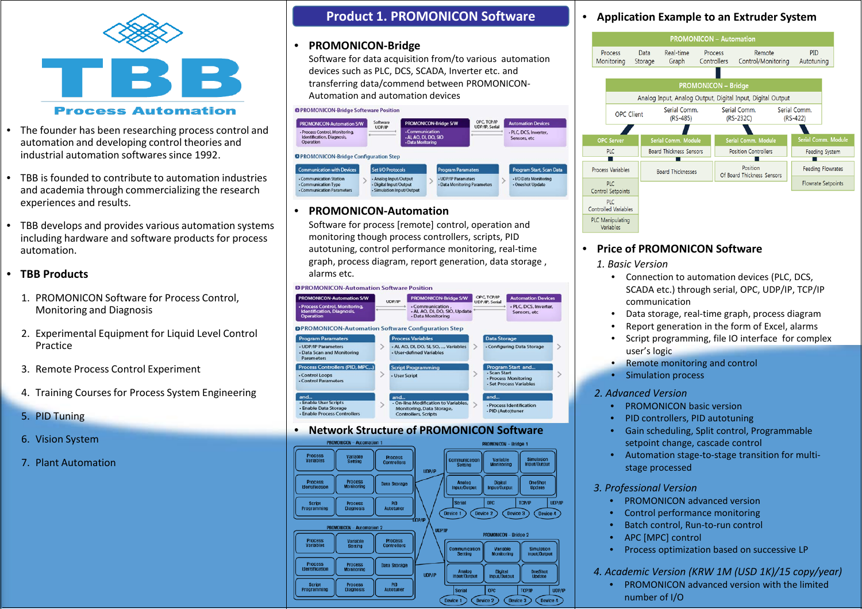

## **Process Automation**

- The founder has been researching process control and automation and developing control theories and industrial automation softwares since 1992.
- TBB is founded to contribute to automation industries and academia through commercializing the research experiences and results.
- TBB develops and provides various automation systems including hardware and software products for process automation.

## • **TBB Products**

- 1. PROMONICON Software for Process Control, Monitoring and Diagnosis
- 2. Experimental Equipment for Liquid Level Control Practice
- 3. Remote Process Control Experiment
- 4. Training Courses for Process System Engineering
- 5. PID Tuning
- 6. Vision System
- 7. Plant Automation

## **Product 1. PROMONICON Software**

### • **PROMONICON-Bridge**

Software for data acquisition from/to various automation devices such as PLC, DCS, SCADA, Inverter etc. and transferring data/commend between PROMONICON-Automation and automation devices

### **OPROMONICON-Bridge Softeware Position** OPC, TCP/IP Software<br>UDP/IP PROMONICON-Bridge S/W **Automation Devices** PROMONICON-Automation S/W **UDP/IP, Serial** - Process Control, Monitoring, . PLC, DCS, Inverter, ALAO DLDO SIO Identification, Diagnosis, Sensors, etc Operation **Data Moritoring OPROMONICON-Bridge Configuration Step** .<br>Program Start, Scan Data **Communication with Device** Set I/O Protocol - Communication Station - Analog Input/Output - UDP/IP Paramaters - I/O Data Monitoring - Communication Type - Digital Input/Output - Data Monitoring Parameter Oneshot Update - Communication Parameter - Simulation Input/Output

## • **PROMONICON-Automation**

Software for process [remote] control, operation and monitoring though process controllers, scripts, PID autotuning, control performance monitoring, real-time graph, process diagram, report generation, data storage , alarms etc.

### **DPROMONICON-Automation Software Position**



## • **Network Structure of PROMONICON Software**



## • **Application Example to an Extruder System**



## • **Price of PROMONICON Software**

*1. Basic Version*

- Connection to automation devices (PLC, DCS, SCADA etc.) through serial, OPC, UDP/IP, TCP/IP communication
- Data storage, real-time graph, process diagram
- Report generation in the form of Excel, alarms
- Script programming, file IO interface for complex user's logic
- Remote monitoring and control
- Simulation process

### *2. Advanced Version*

- PROMONICON basic version
- PID controllers, PID autotuning
- Gain scheduling, Split control, Programmable setpoint change, cascade control
- Automation stage-to-stage transition for multistage processed

## *3. Professional Version*

- PROMONICON advanced version
- Control performance monitoring
- Batch control, Run-to-run control
- APC [MPC] control
- Process optimization based on successive LP

## *4. Academic Version (KRW 1M (USD 1K)/15 copy/year)*

• PROMONICON advanced version with the limited number of I/O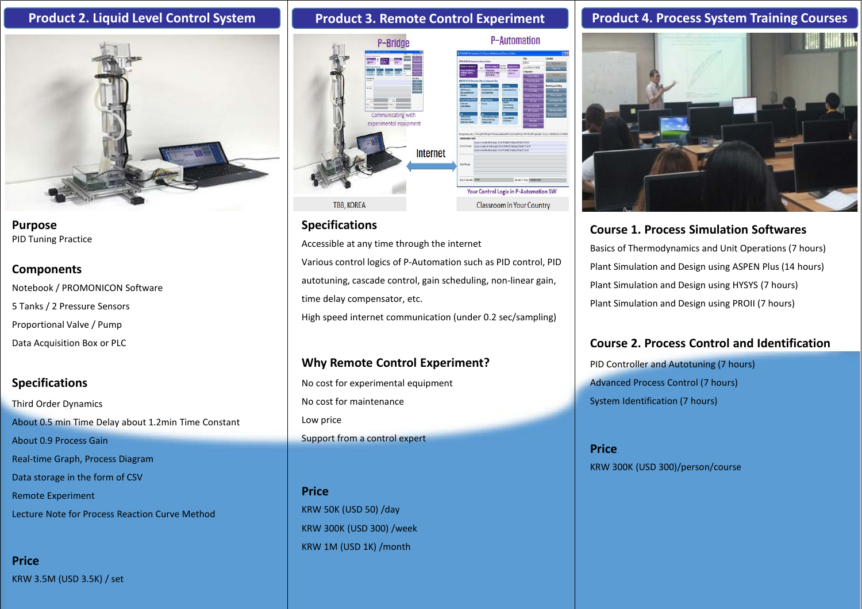

**Purpose** PID Tuning Practice

## **Components**

Notebook / PROMONICON Software 5 Tanks / 2 Pressure Sensors Proportional Valve / Pump Data Acquisition Box or PLC

## **Specifications**

Third Order Dynamics About 0.5 min Time Delay about 1.2min Time Constant About 0.9 Process Gain Real-time Graph, Process Diagram Data storage in the form of CSV Remote Experiment Lecture Note for Process Reaction Curve Method

**Price** KRW 3.5M (USD 3.5K) / set



## **Specifications**

Accessible at any time through the internet

Various control logics of P-Automation such as PID control, PID autotuning, cascade control, gain scheduling, non-linear gain, time delay compensator, etc.

High speed internet communication (under 0.2 sec/sampling)

## **Why Remote Control Experiment?**

No cost for experimental equipment No cost for maintenance Low price Support from a control expert

**Price** KRW 50K (USD 50) /day KRW 300K (USD 300) /week KRW 1M (USD 1K) /month

# **Product 2. Liquid Level Control System Product 3. Remote Control Experiment Product 4. Process System Training Courses**



# **Course 1. Process Simulation Softwares**

Basics of Thermodynamics and Unit Operations (7 hours) Plant Simulation and Design using ASPEN Plus (14 hours) Plant Simulation and Design using HYSYS (7 hours) Plant Simulation and Design using PROII (7 hours)

## **Course 2. Process Control and Identification**

PID Controller and Autotuning (7 hours) Advanced Process Control (7 hours) System Identification (7 hours)

**Price** KRW 300K (USD 300)/person/course